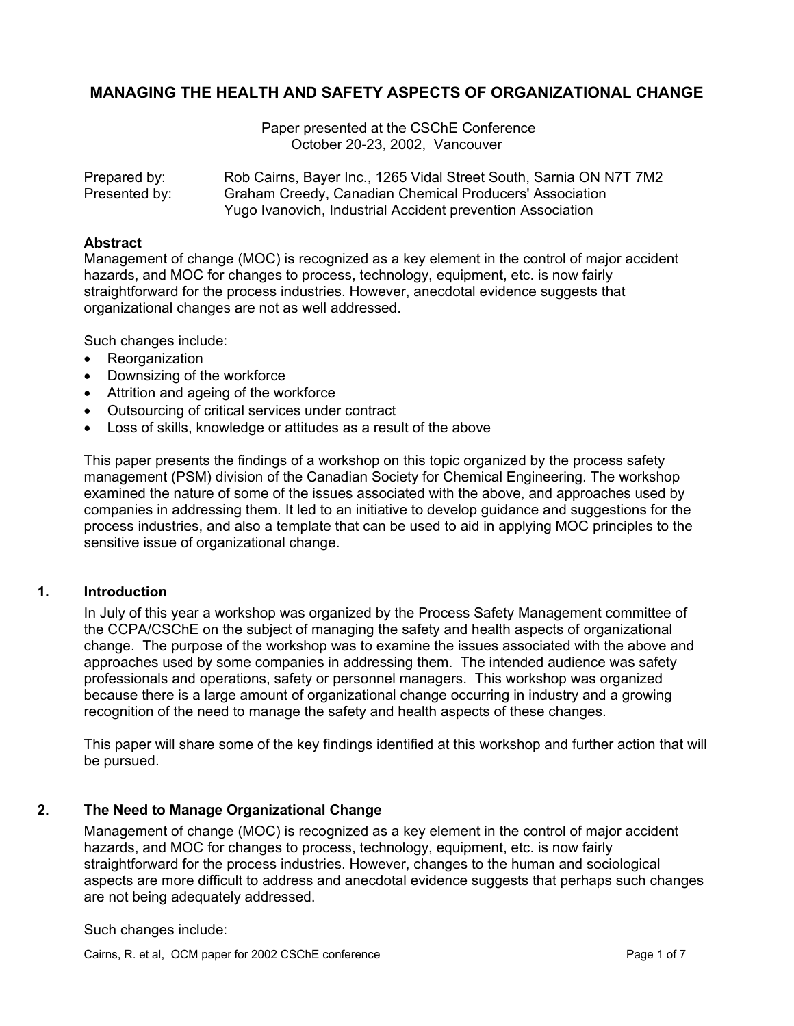# **MANAGING THE HEALTH AND SAFETY ASPECTS OF ORGANIZATIONAL CHANGE**

 Paper presented at the CSChE Conference October 20-23, 2002, Vancouver

Prepared by: Rob Cairns, Bayer Inc., 1265 Vidal Street South, Sarnia ON N7T 7M2 Presented by: Graham Creedy, Canadian Chemical Producers' Association Yugo Ivanovich, Industrial Accident prevention Association

#### **Abstract**

Management of change (MOC) is recognized as a key element in the control of major accident hazards, and MOC for changes to process, technology, equipment, etc. is now fairly straightforward for the process industries. However, anecdotal evidence suggests that organizational changes are not as well addressed.

Such changes include:

- Reorganization
- Downsizing of the workforce
- Attrition and ageing of the workforce
- Outsourcing of critical services under contract
- Loss of skills, knowledge or attitudes as a result of the above

This paper presents the findings of a workshop on this topic organized by the process safety management (PSM) division of the Canadian Society for Chemical Engineering. The workshop examined the nature of some of the issues associated with the above, and approaches used by companies in addressing them. It led to an initiative to develop guidance and suggestions for the process industries, and also a template that can be used to aid in applying MOC principles to the sensitive issue of organizational change.

#### **1. Introduction**

In July of this year a workshop was organized by the Process Safety Management committee of the CCPA/CSChE on the subject of managing the safety and health aspects of organizational change. The purpose of the workshop was to examine the issues associated with the above and approaches used by some companies in addressing them. The intended audience was safety professionals and operations, safety or personnel managers. This workshop was organized because there is a large amount of organizational change occurring in industry and a growing recognition of the need to manage the safety and health aspects of these changes.

This paper will share some of the key findings identified at this workshop and further action that will be pursued.

#### **2. The Need to Manage Organizational Change**

Management of change (MOC) is recognized as a key element in the control of major accident hazards, and MOC for changes to process, technology, equipment, etc. is now fairly straightforward for the process industries. However, changes to the human and sociological aspects are more difficult to address and anecdotal evidence suggests that perhaps such changes are not being adequately addressed.

Such changes include:

Cairns, R. et al, OCM paper for 2002 CSChE conference **Page 1 of 7** and 7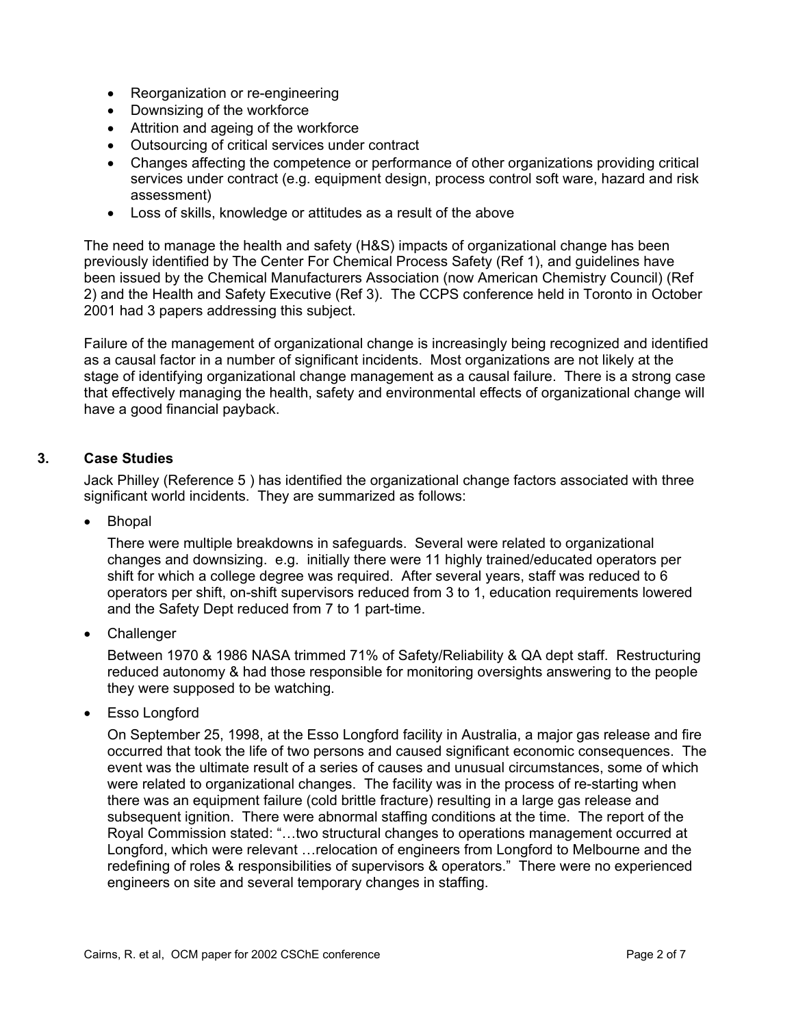- Reorganization or re-engineering
- Downsizing of the workforce
- Attrition and ageing of the workforce
- Outsourcing of critical services under contract
- Changes affecting the competence or performance of other organizations providing critical services under contract (e.g. equipment design, process control soft ware, hazard and risk assessment)
- Loss of skills, knowledge or attitudes as a result of the above

The need to manage the health and safety (H&S) impacts of organizational change has been previously identified by The Center For Chemical Process Safety (Ref 1), and guidelines have been issued by the Chemical Manufacturers Association (now American Chemistry Council) (Ref 2) and the Health and Safety Executive (Ref 3). The CCPS conference held in Toronto in October 2001 had 3 papers addressing this subject.

Failure of the management of organizational change is increasingly being recognized and identified as a causal factor in a number of significant incidents. Most organizations are not likely at the stage of identifying organizational change management as a causal failure. There is a strong case that effectively managing the health, safety and environmental effects of organizational change will have a good financial payback.

## **3. Case Studies**

Jack Philley (Reference 5 ) has identified the organizational change factors associated with three significant world incidents. They are summarized as follows:

• Bhopal

There were multiple breakdowns in safeguards. Several were related to organizational changes and downsizing. e.g. initially there were 11 highly trained/educated operators per shift for which a college degree was required. After several years, staff was reduced to 6 operators per shift, on-shift supervisors reduced from 3 to 1, education requirements lowered and the Safety Dept reduced from 7 to 1 part-time.

• Challenger

Between 1970 & 1986 NASA trimmed 71% of Safety/Reliability & QA dept staff. Restructuring reduced autonomy & had those responsible for monitoring oversights answering to the people they were supposed to be watching.

• Esso Longford

On September 25, 1998, at the Esso Longford facility in Australia, a major gas release and fire occurred that took the life of two persons and caused significant economic consequences. The event was the ultimate result of a series of causes and unusual circumstances, some of which were related to organizational changes. The facility was in the process of re-starting when there was an equipment failure (cold brittle fracture) resulting in a large gas release and subsequent ignition. There were abnormal staffing conditions at the time. The report of the Royal Commission stated: "…two structural changes to operations management occurred at Longford, which were relevant …relocation of engineers from Longford to Melbourne and the redefining of roles & responsibilities of supervisors & operators." There were no experienced engineers on site and several temporary changes in staffing.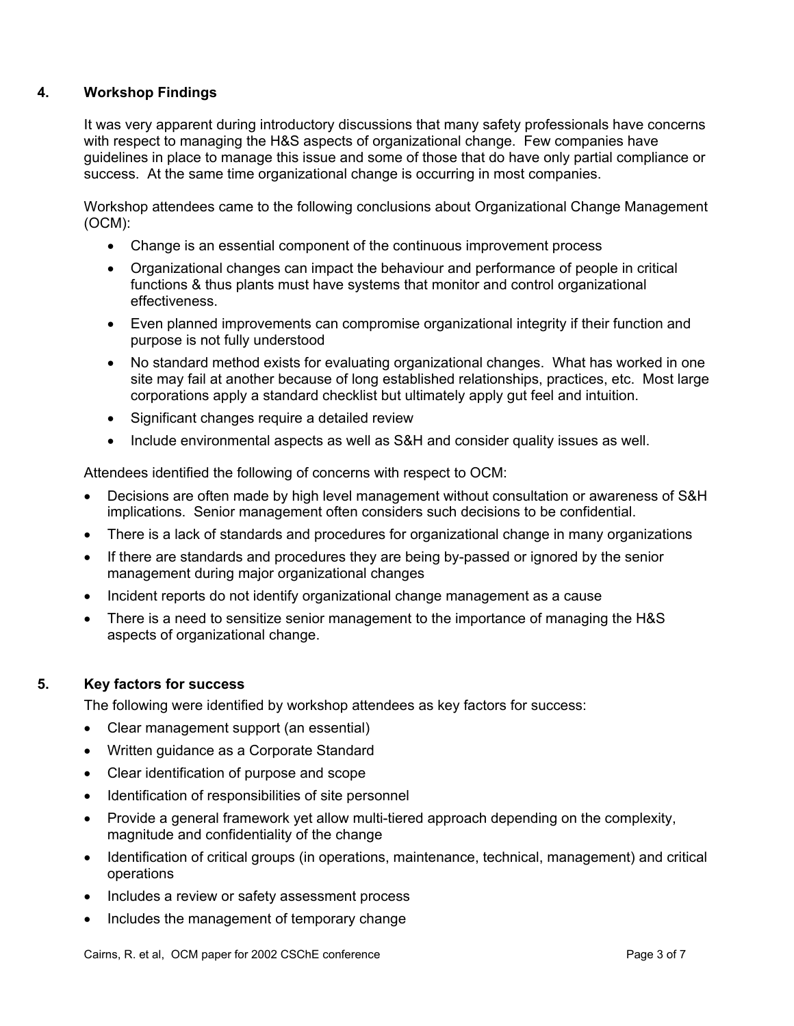## **4. Workshop Findings**

It was very apparent during introductory discussions that many safety professionals have concerns with respect to managing the H&S aspects of organizational change. Few companies have guidelines in place to manage this issue and some of those that do have only partial compliance or success. At the same time organizational change is occurring in most companies.

Workshop attendees came to the following conclusions about Organizational Change Management (OCM):

- Change is an essential component of the continuous improvement process
- Organizational changes can impact the behaviour and performance of people in critical functions & thus plants must have systems that monitor and control organizational effectiveness.
- Even planned improvements can compromise organizational integrity if their function and purpose is not fully understood
- No standard method exists for evaluating organizational changes. What has worked in one site may fail at another because of long established relationships, practices, etc. Most large corporations apply a standard checklist but ultimately apply gut feel and intuition.
- Significant changes require a detailed review
- Include environmental aspects as well as S&H and consider quality issues as well.

Attendees identified the following of concerns with respect to OCM:

- Decisions are often made by high level management without consultation or awareness of S&H implications. Senior management often considers such decisions to be confidential.
- There is a lack of standards and procedures for organizational change in many organizations
- If there are standards and procedures they are being by-passed or ignored by the senior management during major organizational changes
- Incident reports do not identify organizational change management as a cause
- There is a need to sensitize senior management to the importance of managing the H&S aspects of organizational change.

#### **5. Key factors for success**

The following were identified by workshop attendees as key factors for success:

- Clear management support (an essential)
- Written guidance as a Corporate Standard
- Clear identification of purpose and scope
- Identification of responsibilities of site personnel
- Provide a general framework yet allow multi-tiered approach depending on the complexity, magnitude and confidentiality of the change
- Identification of critical groups (in operations, maintenance, technical, management) and critical operations
- Includes a review or safety assessment process
- Includes the management of temporary change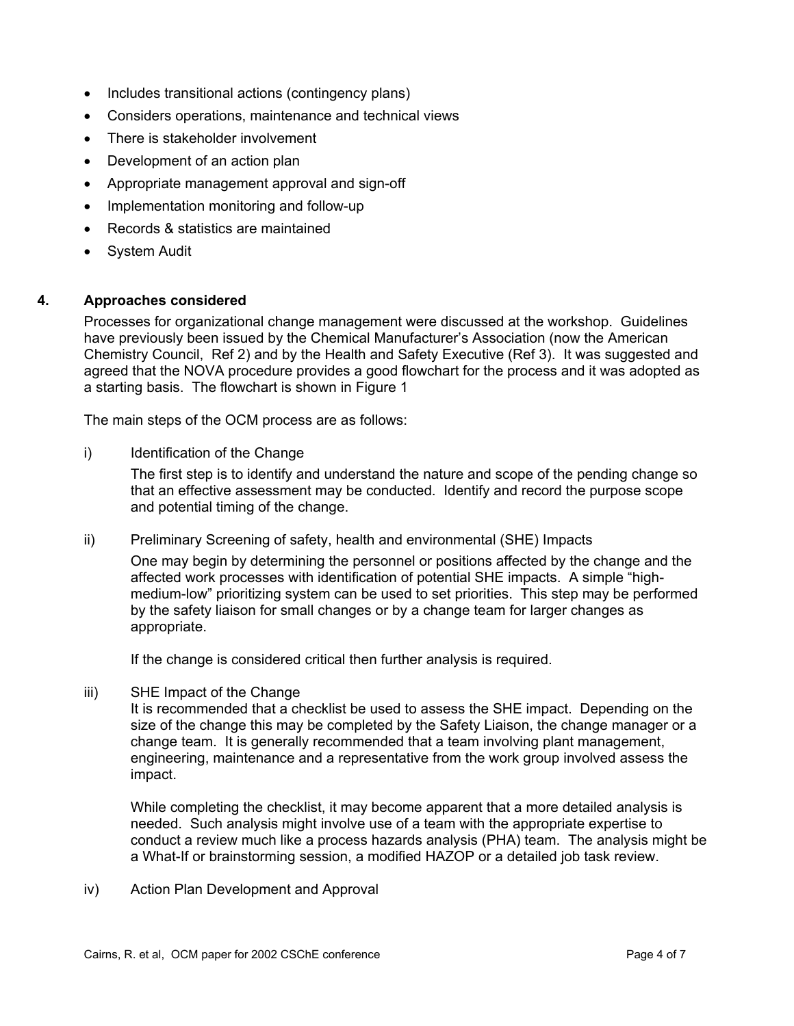- Includes transitional actions (contingency plans)
- Considers operations, maintenance and technical views
- There is stakeholder involvement
- Development of an action plan
- Appropriate management approval and sign-off
- Implementation monitoring and follow-up
- Records & statistics are maintained
- System Audit

## **4. Approaches considered**

Processes for organizational change management were discussed at the workshop. Guidelines have previously been issued by the Chemical Manufacturer's Association (now the American Chemistry Council, Ref 2) and by the Health and Safety Executive (Ref 3). It was suggested and agreed that the NOVA procedure provides a good flowchart for the process and it was adopted as a starting basis. The flowchart is shown in Figure 1

The main steps of the OCM process are as follows:

i) Identification of the Change

The first step is to identify and understand the nature and scope of the pending change so that an effective assessment may be conducted. Identify and record the purpose scope and potential timing of the change.

#### ii) Preliminary Screening of safety, health and environmental (SHE) Impacts

One may begin by determining the personnel or positions affected by the change and the affected work processes with identification of potential SHE impacts. A simple "highmedium-low" prioritizing system can be used to set priorities. This step may be performed by the safety liaison for small changes or by a change team for larger changes as appropriate.

If the change is considered critical then further analysis is required.

iii) SHE Impact of the Change

It is recommended that a checklist be used to assess the SHE impact. Depending on the size of the change this may be completed by the Safety Liaison, the change manager or a change team. It is generally recommended that a team involving plant management, engineering, maintenance and a representative from the work group involved assess the impact.

While completing the checklist, it may become apparent that a more detailed analysis is needed. Such analysis might involve use of a team with the appropriate expertise to conduct a review much like a process hazards analysis (PHA) team. The analysis might be a What-If or brainstorming session, a modified HAZOP or a detailed job task review.

iv) Action Plan Development and Approval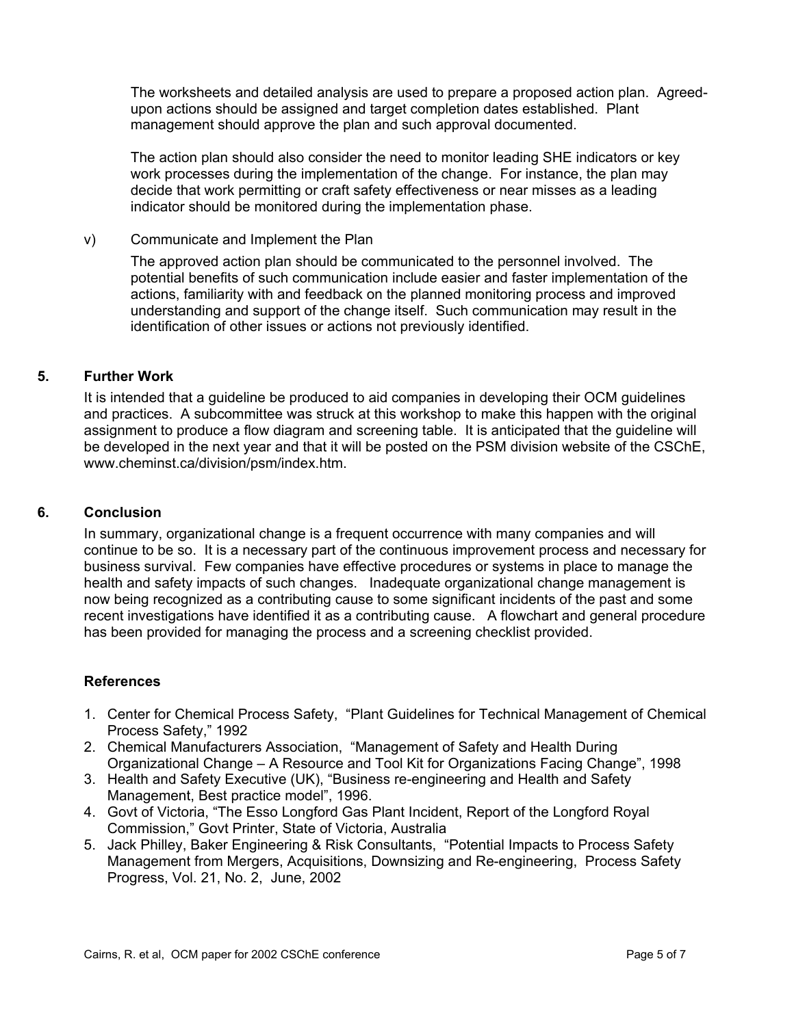The worksheets and detailed analysis are used to prepare a proposed action plan. Agreedupon actions should be assigned and target completion dates established. Plant management should approve the plan and such approval documented.

The action plan should also consider the need to monitor leading SHE indicators or key work processes during the implementation of the change. For instance, the plan may decide that work permitting or craft safety effectiveness or near misses as a leading indicator should be monitored during the implementation phase.

## v) Communicate and Implement the Plan

The approved action plan should be communicated to the personnel involved. The potential benefits of such communication include easier and faster implementation of the actions, familiarity with and feedback on the planned monitoring process and improved understanding and support of the change itself. Such communication may result in the identification of other issues or actions not previously identified.

## **5. Further Work**

It is intended that a guideline be produced to aid companies in developing their OCM guidelines and practices. A subcommittee was struck at this workshop to make this happen with the original assignment to produce a flow diagram and screening table. It is anticipated that the guideline will be developed in the next year and that it will be posted on the PSM division website of the CSChE, www.cheminst.ca/division/psm/index.htm.

## **6. Conclusion**

In summary, organizational change is a frequent occurrence with many companies and will continue to be so. It is a necessary part of the continuous improvement process and necessary for business survival. Few companies have effective procedures or systems in place to manage the health and safety impacts of such changes. Inadequate organizational change management is now being recognized as a contributing cause to some significant incidents of the past and some recent investigations have identified it as a contributing cause. A flowchart and general procedure has been provided for managing the process and a screening checklist provided.

## **References**

- 1. Center for Chemical Process Safety, "Plant Guidelines for Technical Management of Chemical Process Safety," 1992
- 2. Chemical Manufacturers Association, "Management of Safety and Health During Organizational Change – A Resource and Tool Kit for Organizations Facing Change", 1998
- 3. Health and Safety Executive (UK), "Business re-engineering and Health and Safety Management, Best practice model", 1996.
- 4. Govt of Victoria, "The Esso Longford Gas Plant Incident, Report of the Longford Royal Commission," Govt Printer, State of Victoria, Australia
- 5. Jack Philley, Baker Engineering & Risk Consultants, "Potential Impacts to Process Safety Management from Mergers, Acquisitions, Downsizing and Re-engineering, Process Safety Progress, Vol. 21, No. 2, June, 2002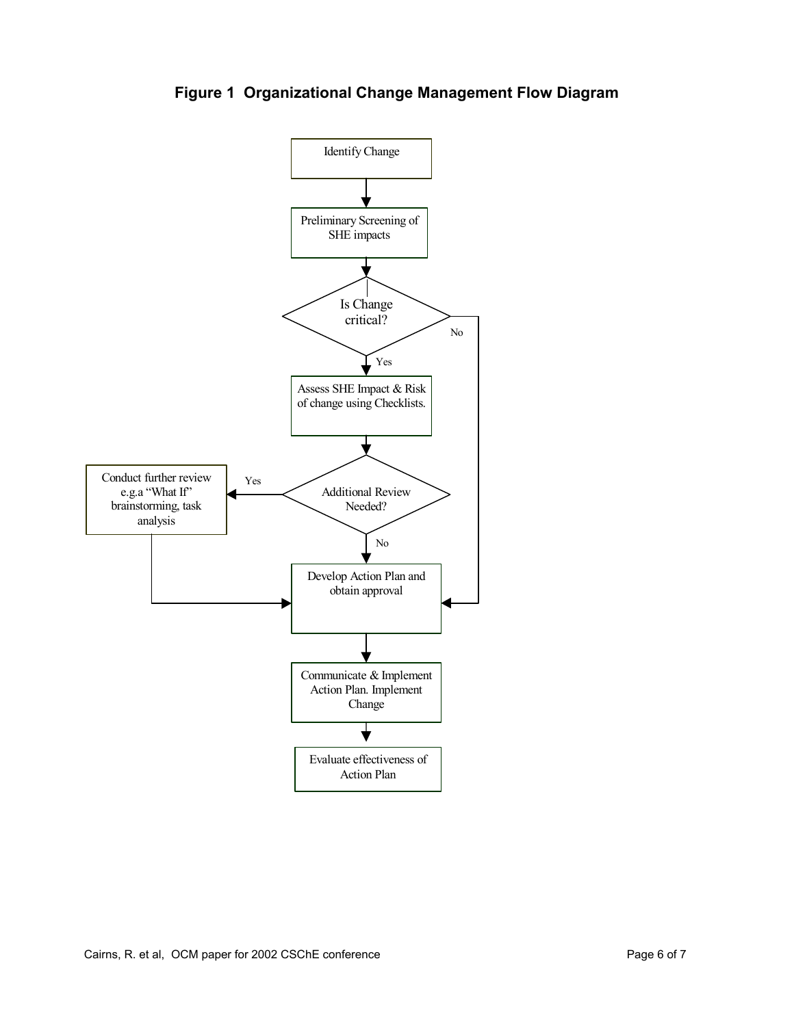

**Figure 1 Organizational Change Management Flow Diagram**